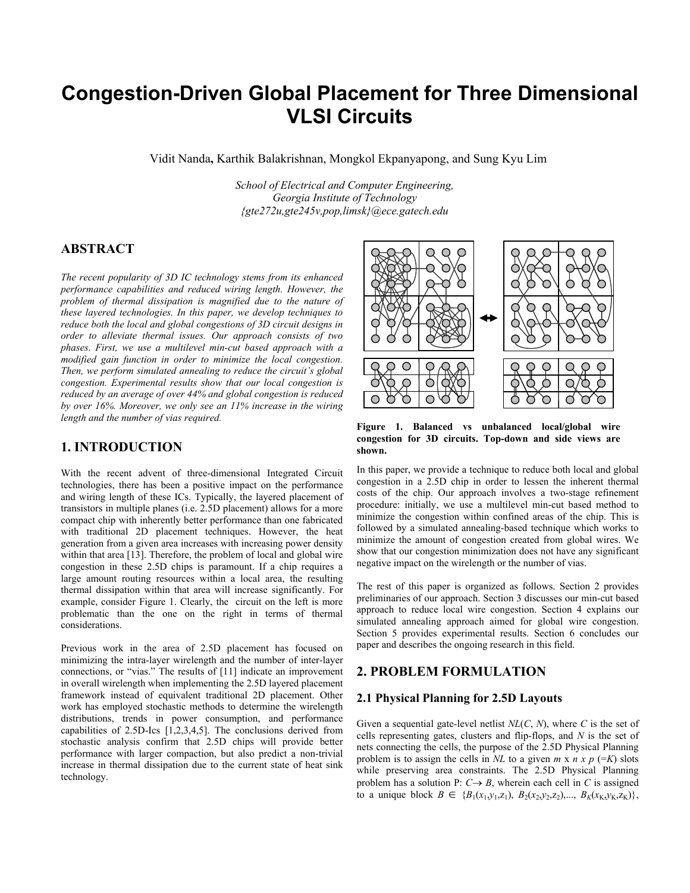# **Congestion-Driven Global Placement for Three Dimensional VLSI Circuits**

Vidit Nanda**,** Karthik Balakrishnan, Mongkol Ekpanyapong, and Sung Kyu Lim

*School of Electrical and Computer Engineering, Georgia Institute of Technology {gte272u,gte245v,pop,limsk}@ece.gatech.edu*

# **ABSTRACT**

*The recent popularity of 3D IC technology stems from its enhanced performance capabilities and reduced wiring length. However, the problem of thermal dissipation is magnified due to the nature of these layered technologies. In this paper, we develop techniques to reduce both the local and global congestions of 3D circuit designs in order to alleviate thermal issues. Our approach consists of two phases. First, we use a multilevel min-cut based approach with a modified gain function in order to minimize the local congestion. Then, we perform simulated annealing to reduce the circuit's global congestion. Experimental results show that our local congestion is reduced by an average of over 44% and global congestion is reduced by over 16%. Moreover, we only see an 11% increase in the wiring length and the number of vias required.* 

# **1. INTRODUCTION**

With the recent advent of three-dimensional Integrated Circuit technologies, there has been a positive impact on the performance and wiring length of these ICs. Typically, the layered placement of transistors in multiple planes (i.e. 2.5D placement) allows for a more compact chip with inherently better performance than one fabricated with traditional 2D placement techniques. However, the heat generation from a given area increases with increasing power density within that area [13]. Therefore, the problem of local and global wire congestion in these 2.5D chips is paramount. If a chip requires a large amount routing resources within a local area, the resulting thermal dissipation within that area will increase significantly. For example, consider Figure 1. Clearly, the circuit on the left is more problematic than the one on the right in terms of thermal considerations.

Previous work in the area of 2.5D placement has focused on minimizing the intra-layer wirelength and the number of inter-layer connections, or "vias." The results of [11] indicate an improvement in overall wirelength when implementing the 2.5D layered placement framework instead of equivalent traditional 2D placement. Other work has employed stochastic methods to determine the wirelength distributions, trends in power consumption, and performance capabilities of 2.5D-Ics [1,2,3,4,5]. The conclusions derived from stochastic analysis confirm that 2.5D chips will provide better performance with larger compaction, but also predict a non-trivial increase in thermal dissipation due to the current state of heat sink technology.



**Figure 1. Balanced vs unbalanced local/global wire congestion for 3D circuits. Top-down and side views are shown.** 

In this paper, we provide a technique to reduce both local and global congestion in a 2.5D chip in order to lessen the inherent thermal costs of the chip. Our approach involves a two-stage refinement procedure: initially, we use a multilevel min-cut based method to minimize the congestion within confined areas of the chip. This is followed by a simulated annealing-based technique which works to minimize the amount of congestion created from global wires. We show that our congestion minimization does not have any significant negative impact on the wirelength or the number of vias.

The rest of this paper is organized as follows. Section 2 provides preliminaries of our approach. Section 3 discusses our min-cut based approach to reduce local wire congestion. Section 4 explains our simulated annealing approach aimed for global wire congestion. Section 5 provides experimental results. Section 6 concludes our paper and describes the ongoing research in this field.

### **2. PROBLEM FORMULATION**

### **2.1 Physical Planning for 2.5D Layouts**

Given a sequential gate-level netlist *NL*(*C*, *N*), where *C* is the set of cells representing gates, clusters and flip-flops, and *N* is the set of nets connecting the cells, the purpose of the 2.5D Physical Planning problem is to assign the cells in *NL* to a given  $m \times n \times p$  (=*K*) slots while preserving area constraints. The 2.5D Physical Planning problem has a solution P:  $C \rightarrow B$ , wherein each cell in *C* is assigned to a unique block  $B \in \{B_1(x_1,y_1,z_1), B_2(x_2,y_2,z_2),..., B_K(x_K,y_K,z_K)\},$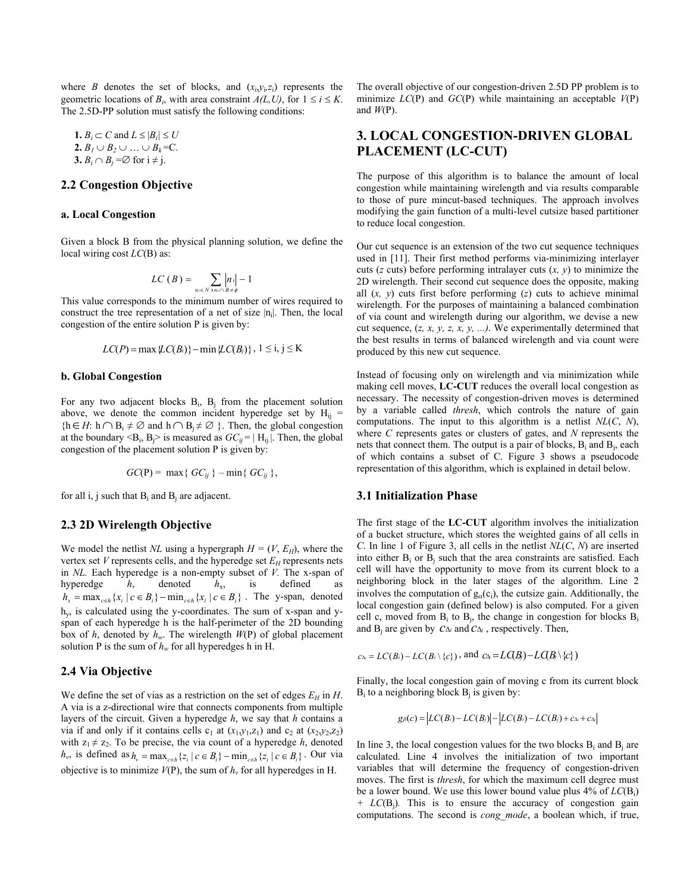where *B* denotes the set of blocks, and  $(x_i, y_i, z_i)$  represents the geometric locations of  $B_i$ , with area constraint  $A(L, U)$ , for  $1 \le i \le K$ . The 2.5D-PP solution must satisfy the following conditions:

1.  $B_i \subset C$  and  $L \leq |B_i| \leq U$ **2.**  $B_1$  ∪  $B_2$  ∪ … ∪  $B_k$ =C. **3.**  $B_i \cap B_j = \emptyset$  for  $i \neq j$ .

# **2.2 Congestion Objective**

#### **a. Local Congestion**

Given a block B from the physical planning solution, we define the local wiring cost *LC*(B) as:

$$
LC(B) = \sum_{n \in N} \left| n \right| - 1
$$

This value corresponds to the minimum number of wires required to construct the tree representation of a net of size  $|n_i|$ . Then, the local congestion of the entire solution P is given by:

$$
LC(P) = \max \{ LC(B_i) \} - \min \{ LC(B_j) \}, 1 \leq i, j \leq K
$$

#### **b. Global Congestion**

For any two adjacent blocks  $B_i$ ,  $B_i$  from the placement solution above, we denote the common incident hyperedge set by  $H_{ii}$  =  ${h \in H: h \cap B_i \neq \emptyset}$  and  $h \cap B_i \neq \emptyset}$ . Then, the global congestion at the boundary  $\langle B_i, B_j \rangle$  is measured as  $GC_{ii} = |H_{ii}|$ . Then, the global congestion of the placement solution P is given by:

$$
GC(P) = \max\{GC_{ij}\} - \min\{GC_{ij}\},
$$

for all i, j such that  $B_i$  and  $B_j$  are adjacent.

#### **2.3 2D Wirelength Objective**

We model the netlist *NL* using a hypergraph  $H = (V, E_H)$ , where the vertex set  $V$  represents cells, and the hyperedge set  $E_H$  represents nets in *NL.* Each hyperedge is a non-empty subset of *V.* The x-span of hyperedge *h*, denoted *h*x, is defined as  $h_x = \max_{c \in h} \{x_i \mid c \in B_i\} - \min_{c \in h} \{x_i \mid c \in B_i\}$ . The y-span, denoted h y, is calculated using the y-coordinates. The sum of x-span and yspan of each hyperedge h is the half-perimeter of the 2D bounding box of *h*, denoted by  $h_w$ . The wirelength  $W(P)$  of global placement solution P is the sum of  $h_w$  for all hyperedges h in H.

### **2.4 Via Objective**

We define the set of vias as a restriction on the set of edges  $E_H$  in *H*. A via is a z-directional wire that connects components from multiple layers of the circuit. Given a hyperedge *h*, we say that *h* contains a via if and only if it contains cells  $c_1$  at  $(x_1,y_1,z_1)$  and  $c_2$  at  $(x_2,y_2,z_2)$ with  $z_1 \neq z_2$ . To be precise, the via count of a hyperedge *h*, denoted  $h_v$ , is defined as  $h_v = \max_{c \in h} \{ z_i \mid c \in B_i \} - \min_{c \in h} \{ z_i \mid c \in B_i \}$ . Our via objective is to minimize  $V(P)$ , the sum of  $h<sub>v</sub>$  for all hyperedges in H.

The overall objective of our congestion-driven 2.5D PP problem is to minimize *LC*(P) and *GC*(P) while maintaining an acceptable *V*(P) and  $W(P)$ .

# **3. LOCAL CONGESTION-DRIVEN GLOBAL PLACEMENT (LC-CUT)**

The purpose of this algorithm is to balance the amount of local congestion while maintaining wirelength and via results comparable to those of pure mincut-based techniques. The approach involves modifying the gain function of a multi-level cutsize based partitioner to reduce local congestion.

Our cut sequence is an extension of the two cut sequence techniques used in [11]. Their first method performs via-minimizing interlayer cuts (*z* cuts) before performing intralayer cuts (*x, y*) to minimize the 2D wirelength. Their second cut sequence does the opposite, making all (*x, y*) cuts first before performing (*z*) cuts to achieve minimal wirelength. For the purposes of maintaining a balanced combination of via count and wirelength during our algorithm, we devise a new cut sequence, (*z, x, y, z, x, y, ...)*. We experimentally determined that the best results in terms of balanced wirelength and via count were produced by this new cut sequence.

Instead of focusing only on wirelength and via minimization while making cell moves, **LC-CUT** reduces the overall local congestion as necessary. The necessity of congestion-driven moves is determined by a variable called *thresh*, which controls the nature of gain computations. The input to this algorithm is a netlist *NL*(*C*, *N*), where *C* represents gates or clusters of gates, and *N* represents the nets that connect them. The output is a pair of blocks,  $B_i$  and  $B_i$ , each of which contains a subset of C. Figure 3 shows a pseudocode representation of this algorithm, which is explained in detail below.

#### **3.1 Initialization Phase**

The first stage of the **LC-CUT** algorithm involves the initialization of a bucket structure, which stores the weighted gains of all cells in *C*. In line 1 of Figure 3, all cells in the netlist *NL*(*C*, *N*) are inserted into either  $B_i$  or  $B_j$  such that the area constraints are satisfied. Each cell will have the opportunity to move from its current block to a neighboring block in the later stages of the algorithm. Line 2 involves the computation of  $g_{\alpha}(c_i)$ , the cutsize gain. Additionally, the local congestion gain (defined below) is also computed. For a given cell c, moved from  $B_i$  to  $B_i$ , the change in congestion for blocks  $B_i$ and Bj are given by *c*<sup>∆</sup>*<sup>i</sup>* and *c*<sup>∆</sup>*<sup>j</sup>* , respectively. Then,

$$
c_{\Delta} = LC(B_i) - LC(B_i \setminus \{c\})
$$
, and  $c_{\Delta} = LG(B_j) - LG(B_j \setminus \{c\})$ 

Finally, the local congestion gain of moving c from its current block  $B_i$  to a neighboring block  $B_i$  is given by:

$$
g_{\beta}(c) = |LC(B_i) - LC(B_j)| - |LC(B_i) - LC(B_j) + c_{\Delta} + c_{\Delta}|
$$

In line 3, the local congestion values for the two blocks  $B_i$  and  $B_i$  are calculated. Line 4 involves the initialization of two important variables that will determine the frequency of congestion-driven moves. The first is *thresh*, for which the maximum cell degree must be a lower bound. We use this lower bound value plus 4% of *LC*(Bi) *+ LC*(Bj)*.* This is to ensure the accuracy of congestion gain computations. The second is *cong\_mode*, a boolean which, if true,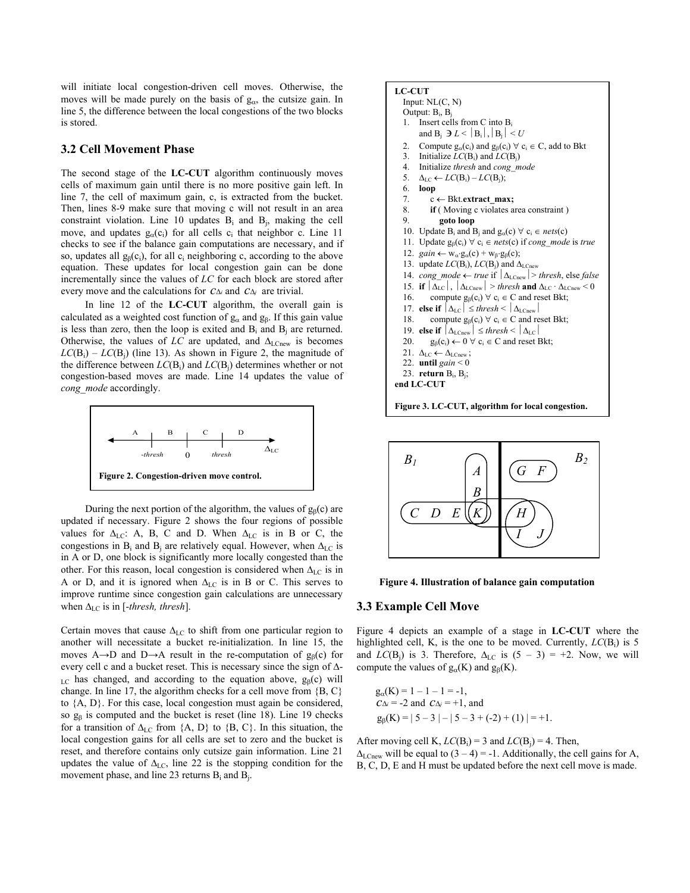will initiate local congestion-driven cell moves. Otherwise, the moves will be made purely on the basis of  $g_\alpha$ , the cutsize gain. In line 5, the difference between the local congestions of the two blocks is stored.

### **3.2 Cell Movement Phase**

The second stage of the **LC-CUT** algorithm continuously moves cells of maximum gain until there is no more positive gain left. In line 7, the cell of maximum gain, c, is extracted from the bucket. Then, lines 8-9 make sure that moving c will not result in an area constraint violation. Line 10 updates  $B_i$  and  $B_j$ , making the cell move, and updates  $g_{\alpha}(c_i)$  for all cells  $c_i$  that neighbor c. Line 11 checks to see if the balance gain computations are necessary, and if so, updates all  $g_\beta(c_i)$ , for all c<sub>i</sub> neighboring c, according to the above equation. These updates for local congestion gain can be done incrementally since the values of *LC* for each block are stored after every move and the calculations for *c*<sup>∆</sup>*<sup>i</sup>* and *c*<sup>∆</sup>*j* are trivial.

In line 12 of the **LC-CUT** algorithm, the overall gain is calculated as a weighted cost function of  $g_\alpha$  and  $g_\beta$ . If this gain value is less than zero, then the loop is exited and  $B_i$  and  $B_j$  are returned. Otherwise, the values of  $LC$  are updated, and  $\Delta_{LCnew}$  is becomes  $LC(B_i) - LC(B_i)$  (line 13). As shown in Figure 2, the magnitude of the difference between  $LC(B_i)$  and  $LC(B_j)$  determines whether or not congestion-based moves are made. Line 14 updates the value of *cong\_mode* accordingly.



During the next portion of the algorithm, the values of  $g_B(c)$  are updated if necessary. Figure 2 shows the four regions of possible values for  $\Delta_{LC}$ : A, B, C and D. When  $\Delta_{LC}$  is in B or C, the congestions in B<sub>i</sub> and B<sub>i</sub> are relatively equal. However, when  $\Delta_{LC}$  is in A or D, one block is significantly more locally congested than the other. For this reason, local congestion is considered when  $\Delta_{\rm LC}$  is in A or D, and it is ignored when  $\Delta_{LC}$  is in B or C. This serves to improve runtime since congestion gain calculations are unnecessary when  $\Delta_{LC}$  is in [-*thresh, thresh*].

Certain moves that cause  $\Delta_{\rm LC}$  to shift from one particular region to another will necessitate a bucket re-initialization. In line 15, the moves A $\rightarrow$ D and D $\rightarrow$ A result in the re-computation of g<sub>B</sub>(c) for every cell c and a bucket reset. This is necessary since the sign of ∆-  $LC$  has changed, and according to the equation above,  $g_B(c)$  will change. In line 17, the algorithm checks for a cell move from {B, C} to {A, D}. For this case, local congestion must again be considered, so  $g_\beta$  is computed and the bucket is reset (line 18). Line 19 checks for a transition of  $\Delta_{LC}$  from {A, D} to {B, C}. In this situation, the local congestion gains for all cells are set to zero and the bucket is reset, and therefore contains only cutsize gain information. Line 21 updates the value of  $\Delta_{\text{LC}}$ , line 22 is the stopping condition for the movement phase, and line 23 returns  $B_i$  and  $B_j$ .









#### **3.3 Example Cell Move**

Figure 4 depicts an example of a stage in **LC-CUT** where the highlighted cell, K, is the one to be moved. Currently,  $LC(B_i)$  is 5 and *LC*(B<sub>i</sub>) is 3. Therefore,  $\Delta_{LC}$  is (5 – 3) = +2. Now, we will compute the values of  $g_\alpha(K)$  and  $g_\beta(K)$ .

$$
g_{\alpha}(K) = 1 - 1 - 1 = -1,
$$
  
\n $C\Delta_i = -2$  and  $C\Delta_j = +1$ , and  
\n $g_{\beta}(K) = |5 - 3| - |5 - 3 + (-2) + (1)| = +1.$ 

After moving cell K,  $LC(B_i) = 3$  and  $LC(B_i) = 4$ . Then,

 $\Delta_{\text{LCnew}}$  will be equal to  $(3 – 4) = -1$ . Additionally, the cell gains for A, B, C, D, E and H must be updated before the next cell move is made.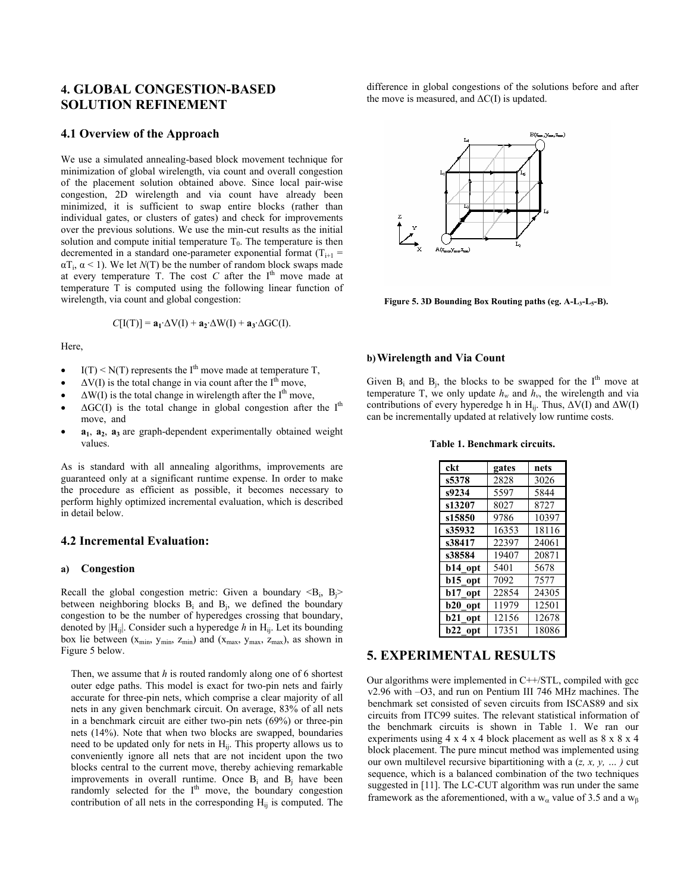# **4. GLOBAL CONGESTION-BASED SOLUTION REFINEMENT**

#### **4.1 Overview of the Approach**

We use a simulated annealing-based block movement technique for minimization of global wirelength, via count and overall congestion of the placement solution obtained above. Since local pair-wise congestion, 2D wirelength and via count have already been minimized, it is sufficient to swap entire blocks (rather than individual gates, or clusters of gates) and check for improvements over the previous solutions. We use the min-cut results as the initial solution and compute initial temperature  $T_0$ . The temperature is then decremented in a standard one-parameter exponential format  $(T_{i+1} =$  $\alpha T_i$ ,  $\alpha$  < 1). We let *N*(T) be the number of random block swaps made at every temperature  $T$ . The cost  $C$  after the  $I<sup>th</sup>$  move made at temperature T is computed using the following linear function of wirelength, via count and global congestion:

$$
C[I(T)] = \mathbf{a_1} \Delta V(I) + \mathbf{a_2} \Delta W(I) + \mathbf{a_3} \Delta G C(I).
$$

Here,

- $I(T) \le N(T)$  represents the I<sup>th</sup> move made at temperature T,
- $\Delta V(I)$  is the total change in via count after the I<sup>th</sup> move,
- $\Delta W(I)$  is the total change in wirelength after the I<sup>th</sup> move,
- $\Delta G C(I)$  is the total change in global congestion after the I<sup>th</sup> move, and
- **a<sub>1</sub>**, **a**<sub>2</sub>, **a**<sub>3</sub> are graph-dependent experimentally obtained weight values.

As is standard with all annealing algorithms, improvements are guaranteed only at a significant runtime expense. In order to make the procedure as efficient as possible, it becomes necessary to perform highly optimized incremental evaluation, which is described in detail below.

#### **4.2 Incremental Evaluation:**

#### **a) Congestion**

Recall the global congestion metric: Given a boundary  $\langle B_i, B_j \rangle$ between neighboring blocks  $B_i$  and  $B_i$ , we defined the boundary congestion to be the number of hyperedges crossing that boundary, denoted by  $|H_{ii}|$ . Consider such a hyperedge *h* in  $H_{ii}$ . Let its bounding box lie between  $(x_{min}, y_{min}, z_{min})$  and  $(x_{max}, y_{max}, z_{max})$ , as shown in Figure 5 below.

Then, we assume that *h* is routed randomly along one of 6 shortest outer edge paths. This model is exact for two-pin nets and fairly accurate for three-pin nets, which comprise a clear majority of all nets in any given benchmark circuit. On average, 83% of all nets in a benchmark circuit are either two-pin nets (69%) or three-pin nets (14%). Note that when two blocks are swapped, boundaries need to be updated only for nets in  $H_{ij}$ . This property allows us to conveniently ignore all nets that are not incident upon the two blocks central to the current move, thereby achieving remarkable improvements in overall runtime. Once  $B_i$  and  $B_j$  have been randomly selected for the  $I<sup>th</sup>$  move, the boundary congestion contribution of all nets in the corresponding  $H_{ii}$  is computed. The

difference in global congestions of the solutions before and after the move is measured, and  $\Delta C(I)$  is updated.



**Figure 5. 3D Bounding Box Routing paths (eg. A-L3-L5-B).** 

#### **b)Wirelength and Via Count**

Given  $B_i$  and  $B_j$ , the blocks to be swapped for the I<sup>th</sup> move at temperature T, we only update  $h_w$  and  $\hat{h}_v$ , the wirelength and via contributions of every hyperedge h in H<sub>ij</sub>. Thus,  $\Delta V(I)$  and  $\Delta W(I)$ can be incrementally updated at relatively low runtime costs.

#### **Table 1. Benchmark circuits.**

| ckt               | gates | nets  |
|-------------------|-------|-------|
| s5378             | 2828  | 3026  |
| s9234             | 5597  | 5844  |
| s13207            | 8027  | 8727  |
| s15850            | 9786  | 10397 |
| s35932            | 16353 | 18116 |
| s38417            | 22397 | 24061 |
| s38584            | 19407 | 20871 |
| b14 opt           | 5401  | 5678  |
| b15_opt           | 7092  | 7577  |
| b17<br>opt        | 22854 | 24305 |
| b20<br>opt        | 11979 | 12501 |
| <b>b21</b><br>opt | 12156 | 12678 |
| <b>b22</b><br>opt | 17351 | 18086 |

### **5. EXPERIMENTAL RESULTS**

Our algorithms were implemented in C++/STL, compiled with gcc v2.96 with –O3, and run on Pentium III 746 MHz machines. The benchmark set consisted of seven circuits from ISCAS89 and six circuits from ITC99 suites. The relevant statistical information of the benchmark circuits is shown in Table 1. We ran our experiments using 4 x 4 x 4 block placement as well as 8 x 8 x 4 block placement. The pure mincut method was implemented using our own multilevel recursive bipartitioning with a (*z, x, y, … )* cut sequence, which is a balanced combination of the two techniques suggested in [11]. The LC-CUT algorithm was run under the same framework as the aforementioned, with a  $w_\alpha$  value of 3.5 and a  $w_\beta$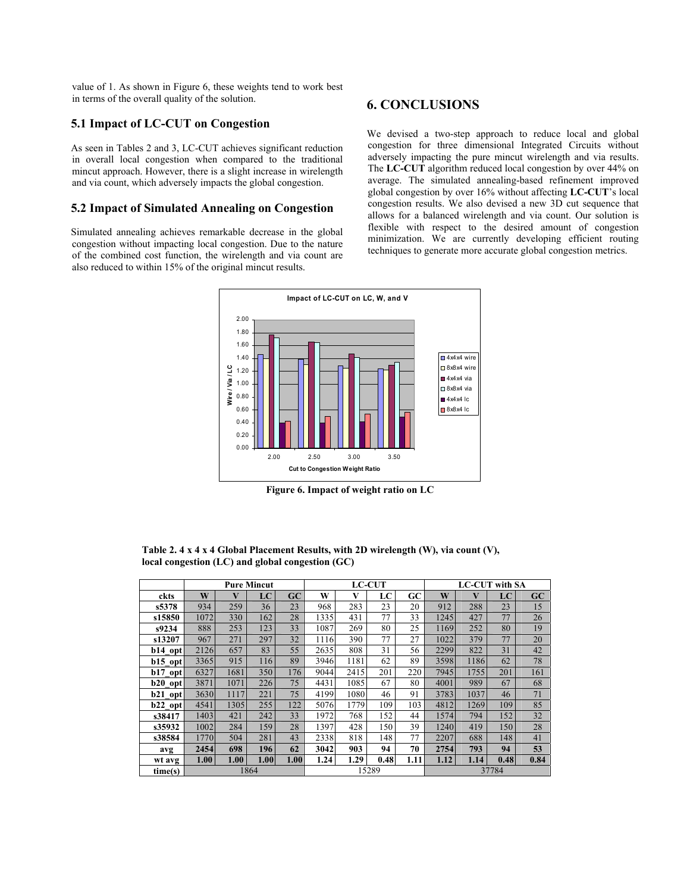value of 1. As shown in Figure 6, these weights tend to work best in terms of the overall quality of the solution.

# **5.1 Impact of LC-CUT on Congestion**

As seen in Tables 2 and 3, LC-CUT achieves significant reduction in overall local congestion when compared to the traditional mincut approach. However, there is a slight increase in wirelength and via count, which adversely impacts the global congestion.

### **5.2 Impact of Simulated Annealing on Congestion**

Simulated annealing achieves remarkable decrease in the global congestion without impacting local congestion. Due to the nature of the combined cost function, the wirelength and via count are also reduced to within 15% of the original mincut results.

# **6. CONCLUSIONS**

We devised a two-step approach to reduce local and global congestion for three dimensional Integrated Circuits without adversely impacting the pure mincut wirelength and via results. The **LC-CUT** algorithm reduced local congestion by over 44% on average. The simulated annealing-based refinement improved global congestion by over 16% without affecting **LC-CUT**'s local congestion results. We also devised a new 3D cut sequence that allows for a balanced wirelength and via count. Our solution is flexible with respect to the desired amount of congestion minimization. We are currently developing efficient routing techniques to generate more accurate global congestion metrics.



**Figure 6. Impact of weight ratio on LC** 

|           | <b>Pure Mincut</b> |      |      |      | <b>LC-CUT</b> |      |      |      | <b>LC-CUT</b> with SA |      |      |      |  |
|-----------|--------------------|------|------|------|---------------|------|------|------|-----------------------|------|------|------|--|
| ckts      | W                  | V    | LC   | GC   | W             | V    | LC   | GC   | W                     | V    | LC   | GC   |  |
| s5378     | 934                | 259  | 36   | 23   | 968           | 283  | 23   | 20   | 912                   | 288  | 23   | 15   |  |
| s15850    | 1072               | 330  | 162  | 28   | 1335          | 431  | 77   | 33   | 1245                  | 427  | 77   | 26   |  |
| s9234     | 888                | 253  | 123  | 33   | 1087          | 269  | 80   | 25   | 1169                  | 252  | 80   | 19   |  |
| s13207    | 967                | 271  | 297  | 32   | 1116          | 390  | 77   | 27   | 1022                  | 379  | 77   | 20   |  |
| b14 opt   | 2126               | 657  | 83   | 55   | 2635          | 808  | 31   | 56   | 2299                  | 822  | 31   | 42   |  |
| $b15$ opt | 3365               | 915  | 116  | 89   | 3946          | 1181 | 62   | 89   | 3598                  | 1186 | 62   | 78   |  |
| $b17$ opt | 6327               | 1681 | 350  | 176  | 9044          | 2415 | 201  | 220  | 7945                  | 1755 | 201  | 161  |  |
| b20 opt   | 3871               | 1071 | 226  | 75   | 4431          | 1085 | 67   | 80   | 4001                  | 989  | 67   | 68   |  |
| b21_opt   | 3630               | 1117 | 221  | 75   | 4199          | 1080 | 46   | 91   | 3783                  | 1037 | 46   | 71   |  |
| $b22$ opt | 4541               | 1305 | 255  | 122  | 5076          | 1779 | 109  | 103  | 4812                  | 1269 | 109  | 85   |  |
| s38417    | 1403               | 421  | 242  | 33   | 1972          | 768  | 152  | 44   | 1574                  | 794  | 152  | 32   |  |
| s35932    | 1002               | 284  | 159  | 28   | 1397          | 428  | 150  | 39   | 1240                  | 419  | 150  | 28   |  |
| s38584    | 1770               | 504  | 281  | 43   | 2338          | 818  | 148  | 77   | 2207                  | 688  | 148  | 41   |  |
| avg       | 2454               | 698  | 196  | 62   | 3042          | 903  | 94   | 70   | 2754                  | 793  | 94   | 53   |  |
| wt avg    | 1.00 <sub>1</sub>  | 1.00 | 1.00 | 1.00 | 1.24          | 1.29 | 0.48 | 1.11 | 1.12                  | 1.14 | 0.48 | 0.84 |  |
| time(s)   | 1864               |      |      |      | 15289         |      |      |      | 37784                 |      |      |      |  |

**Table 2. 4 x 4 x 4 Global Placement Results, with 2D wirelength (W), via count (V), local congestion (LC) and global congestion (GC)**